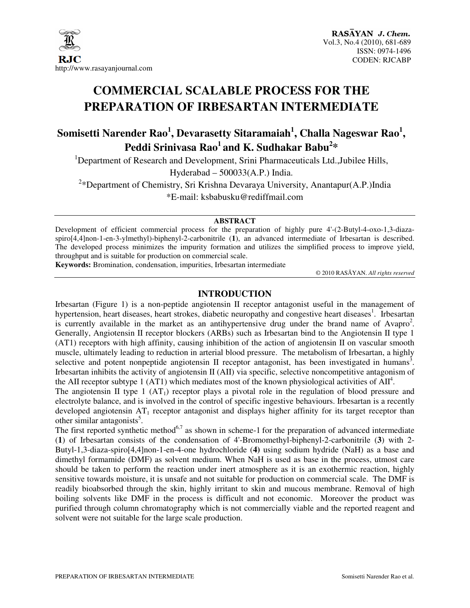

# **COMMERCIAL SCALABLE PROCESS FOR THE PREPARATION OF IRBESARTAN INTERMEDIATE**

## **Somisetti Narender Rao<sup>1</sup> , Devarasetty Sitaramaiah<sup>1</sup> , Challa Nageswar Rao<sup>1</sup> , Peddi Srinivasa Rao<sup>1</sup>and K. Sudhakar Babu<sup>2</sup> \***

<sup>1</sup>Department of Research and Development, Srini Pharmaceuticals Ltd., Jubilee Hills, Hyderabad – 500033(A.P.) India.

<sup>2</sup>\*Department of Chemistry, Sri Krishna Devaraya University, Anantapur(A.P.)India \*E-mail: ksbabusku@rediffmail.com

#### **ABSTRACT**

Development of efficient commercial process for the preparation of highly pure 4'-(2-Butyl-4-oxo-1,3-diazaspiro[4,4]non-1-en-3-ylmethyl)-biphenyl-2-carbonitrile (**1**), an advanced intermediate of Irbesartan is described. The developed process minimizes the impurity formation and utilizes the simplified process to improve yield, throughput and is suitable for production on commercial scale.

**Keywords:** Bromination, condensation, impurities, Irbesartan intermediate

© 2010 RASĀYAN. *All rights reserved*

#### **INTRODUCTION**

Irbesartan (Figure 1) is a non-peptide angiotensin II receptor antagonist useful in the management of hypertension, heart diseases, heart strokes, diabetic neuropathy and congestive heart diseases<sup>1</sup>. Irbesartan is currently available in the market as an antihypertensive drug under the brand name of Avapro<sup>2</sup>. Generally, Angiotensin II receptor blockers (ARBs) such as Irbesartan bind to the Angiotensin II type 1 (AT1) receptors with high affinity, causing inhibition of the action of angiotensin II on vascular smooth muscle, ultimately leading to reduction in arterial blood pressure. The metabolism of Irbesartan, a highly selective and potent nonpeptide angiotensin II receptor antagonist, has been investigated in humans<sup>3</sup>. Irbesartan inhibits the activity of angiotensin II (AII) via specific, selective noncompetitive antagonism of the AII receptor subtype 1 (AT1) which mediates most of the known physiological activities of  $\text{AII}^4$ .

The angiotensin II type 1  $(AT_1)$  receptor plays a pivotal role in the regulation of blood pressure and electrolyte balance, and is involved in the control of specific ingestive behaviours. Irbesartan is a recently developed angiotensin  $AT_1$  receptor antagonist and displays higher affinity for its target receptor than other similar antagonists<sup>5</sup>.

The first reported synthetic method<sup>6,7</sup> as shown in scheme-1 for the preparation of advanced intermediate (**1**) of Irbesartan consists of the condensation of 4'-Bromomethyl-biphenyl-2-carbonitrile (**3**) with 2- Butyl-1,3-diaza-spiro[4,4]non-1-en-4-one hydrochloride (**4)** using sodium hydride (NaH) as a base and dimethyl formamide (DMF) as solvent medium. When NaH is used as base in the process, utmost care should be taken to perform the reaction under inert atmosphere as it is an exothermic reaction, highly sensitive towards moisture, it is unsafe and not suitable for production on commercial scale. The DMF is readily bioabsorbed through the skin, highly irritant to skin and mucous membrane. Removal of high boiling solvents like DMF in the process is difficult and not economic. Moreover the product was purified through column chromatography which is not commercially viable and the reported reagent and solvent were not suitable for the large scale production.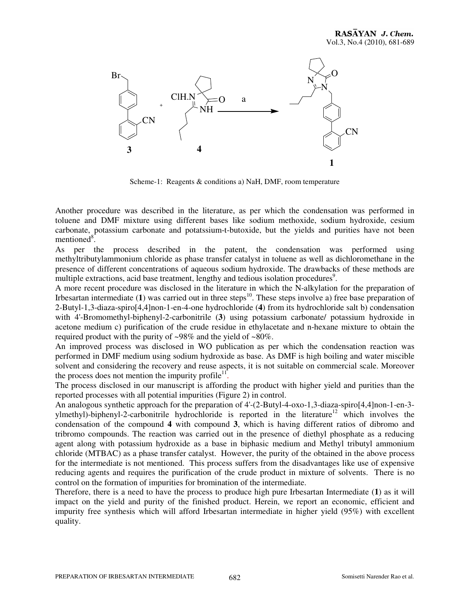

Scheme-1: Reagents & conditions a) NaH, DMF, room temperature

Another procedure was described in the literature, as per which the condensation was performed in toluene and DMF mixture using different bases like sodium methoxide, sodium hydroxide, cesium carbonate, potassium carbonate and potatssium-t-butoxide, but the yields and purities have not been mentioned $\overline{8}$ .

As per the process described in the patent, the condensation was performed using methyltributylammonium chloride as phase transfer catalyst in toluene as well as dichloromethane in the presence of different concentrations of aqueous sodium hydroxide. The drawbacks of these methods are multiple extractions, acid base treatment, lengthy and tedious isolation procedures<sup>9</sup>.

A more recent procedure was disclosed in the literature in which the N-alkylation for the preparation of Irbesartan intermediate  $(1)$  was carried out in three steps<sup>10</sup>. These steps involve a) free base preparation of 2-Butyl-1,3-diaza-spiro[4,4]non-1-en-4-one hydrochloride (**4**) from its hydrochloride salt b) condensation with 4'-Bromomethyl-biphenyl-2-carbonitrile (**3**) using potassium carbonate/ potassium hydroxide in acetone medium c) purification of the crude residue in ethylacetate and n-hexane mixture to obtain the required product with the purity of ~98% and the yield of ~80%.

An improved process was disclosed in WO publication as per which the condensation reaction was performed in DMF medium using sodium hydroxide as base. As DMF is high boiling and water miscible solvent and considering the recovery and reuse aspects, it is not suitable on commercial scale. Moreover the process does not mention the impurity profile $\mathbf{^{11}}$ .

The process disclosed in our manuscript is affording the product with higher yield and purities than the reported processes with all potential impurities (Figure 2) in control.

An analogous synthetic approach for the preparation of 4'-(2-Butyl-4-oxo-1,3-diaza-spiro[4,4]non-1-en-3 ylmethyl)-biphenyl-2-carbonitrile hydrochloride is reported in the literature<sup>12</sup> which involves the condensation of the compound **4** with compound **3**, which is having different ratios of dibromo and tribromo compounds. The reaction was carried out in the presence of diethyl phosphate as a reducing agent along with potassium hydroxide as a base in biphasic medium and Methyl tributyl ammonium chloride (MTBAC) as a phase transfer catalyst. However, the purity of the obtained in the above process for the intermediate is not mentioned. This process suffers from the disadvantages like use of expensive reducing agents and requires the purification of the crude product in mixture of solvents. There is no control on the formation of impurities for bromination of the intermediate.

Therefore, there is a need to have the process to produce high pure Irbesartan Intermediate (**1**) as it will impact on the yield and purity of the finished product. Herein, we report an economic, efficient and impurity free synthesis which will afford Irbesartan intermediate in higher yield (95%) with excellent quality.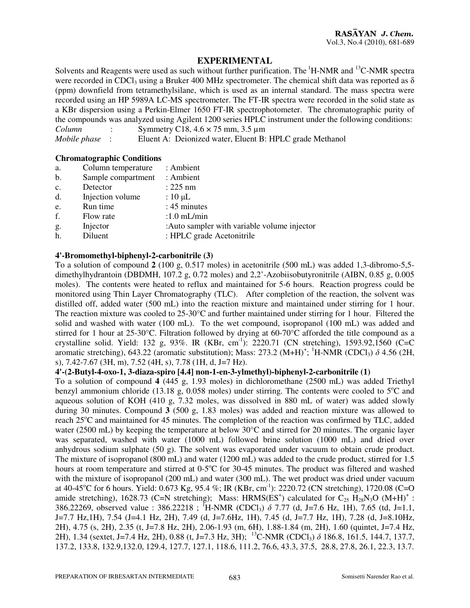#### **EXPERIMENTAL**

Solvents and Reagents were used as such without further purification. The <sup>1</sup>H-NMR and <sup>13</sup>C-NMR spectra were recorded in CDCl<sub>3</sub> using a Bruker 400 MHz spectrometer. The chemical shift data was reported as  $\delta$ (ppm) downfield from tetramethylsilane, which is used as an internal standard. The mass spectra were recorded using an HP 5989A LC-MS spectrometer. The FT-IR spectra were recorded in the solid state as a KBr dispersion using a Perkin-Elmer 1650 FT-IR spectrophotometer. The chromatographic purity of the compounds was analyzed using Agilent 1200 series HPLC instrument under the following conditions: *Column* : Symmetry C18, 4.6 × 75 mm, 3.5 µm

*Mobile phase* : Eluent A: Deionized water, Eluent B: HPLC grade Methanol

#### **Chromatographic Conditions**

| a.             | Column temperature | : Ambient                                    |
|----------------|--------------------|----------------------------------------------|
| b.             | Sample compartment | : Ambient                                    |
| $\mathbf{c}$ . | Detector           | $: 225$ nm                                   |
| d.             | Injection volume   | : $10 \mu L$                                 |
| e.             | Run time           | : 45 minutes                                 |
| f.             | Flow rate          | $:1.0$ mL/min                                |
| g.             | Injector           | : Auto sampler with variable volume injector |
| h.             | Diluent            | : HPLC grade Acetonitrile                    |
|                |                    |                                              |

#### **4'-Bromomethyl-biphenyl-2-carbonitrile (3)**

To a solution of compound **2** (100 g, 0.517 moles) in acetonitrile (500 mL) was added 1,3-dibromo-5,5 dimethylhydrantoin (DBDMH, 107.2 g, 0.72 moles) and 2,2'-Azobiisobutyronitrile (AIBN, 0.85 g, 0.005 moles). The contents were heated to reflux and maintained for 5-6 hours. Reaction progress could be monitored using Thin Layer Chromatography (TLC). After completion of the reaction, the solvent was distilled off, added water (500 mL) into the reaction mixture and maintained under stirring for 1 hour. The reaction mixture was cooled to  $25{\text -}30^{\circ}\text{C}$  and further maintained under stirring for 1 hour. Filtered the solid and washed with water (100 mL). To the wet compound, isopropanol (100 mL) was added and stirred for 1 hour at 25-30°C. Filtration followed by drying at 60-70°C afforded the title compound as a crystalline solid. Yield: 132 g, 93%. IR (KBr, cm<sup>-1</sup>): 2220.71 (CN stretching), 1593.92,1560 (C=C aromatic stretching), 643.22 (aromatic substitution); Mass: 273.2 (M+H)<sup>+</sup>; <sup>1</sup>H-NMR (CDCl<sub>3</sub>)  $\delta$  4.56 (2H, s), 7.42-7.67 (3H, m), 7.52 (4H, s), 7.78 (1H, d, J=7 Hz).

#### **4'-(2-Butyl-4-oxo-1, 3-diaza-spiro [4.4] non-1-en-3-ylmethyl)-biphenyl-2-carbonitrile (1)**

To a solution of compound **4** (445 g, 1.93 moles) in dichloromethane (2500 mL) was added Triethyl benzyl ammonium chloride (13.18 g, 0.058 moles) under stirring. The contents were cooled to  $5^{\circ}$ C and aqueous solution of KOH (410 g, 7.32 moles, was dissolved in 880 mL of water) was added slowly during 30 minutes. Compound **3** (500 g, 1.83 moles) was added and reaction mixture was allowed to reach  $25^{\circ}$ C and maintained for 45 minutes. The completion of the reaction was confirmed by TLC, added water (2500 mL) by keeping the temperature at below 30°C and stirred for 20 minutes. The organic layer was separated, washed with water (1000 mL) followed brine solution (1000 mL) and dried over anhydrous sodium sulphate (50 g). The solvent was evaporated under vacuum to obtain crude product. The mixture of isopropanol (800 mL) and water (1200 mL) was added to the crude product, stirred for 1.5 hours at room temperature and stirred at 0-5°C for 30-45 minutes. The product was filtered and washed with the mixture of isopropanol (200 mL) and water (300 mL). The wet product was dried under vacuum at 40-45<sup>o</sup>C for 6 hours. Yield: 0.673 Kg, 95.4 %; IR (KBr, cm<sup>-1</sup>): 2220.72 (CN stretching), 1720.08 (C=O amide stretching), 1628.73 (C=N stretching); Mass: HRMS(ES<sup>+</sup>) calculated for C<sub>25</sub> H<sub>28</sub>N<sub>3</sub>O (M+H)<sup>+</sup>: 386.22269, observed value : 386.22218 ; <sup>1</sup>H-NMR (CDCl<sub>3</sub>)  $\delta$  7.77 (d, J=7.6 Hz, 1H), 7.65 (td, J=1.1, J=7.7 Hz,1H), 7.54 (J=4.1 Hz, 2H), 7.49 (d, J=7.6Hz, 1H), 7.45 (d, J=7.7 Hz, 1H), 7.28 (d, J=8.10Hz, 2H), 4.75 (s, 2H), 2.35 (t, J=7.8 Hz, 2H), 2.06-1.93 (m, 6H), 1.88-1.84 (m, 2H), 1.60 (quintet, J=7.4 Hz, 2H), 1.34 (sextet, J=7.4 Hz, 2H), 0.88 (t, J=7.3 Hz, 3H); <sup>13</sup>C-NMR (CDCl<sub>3</sub>)  $\delta$  186.8, 161.5, 144.7, 137.7, 137.2, 133.8, 132.9,132.0, 129.4, 127.7, 127.1, 118.6, 111.2, 76.6, 43.3, 37.5, 28.8, 27.8, 26.1, 22.3, 13.7.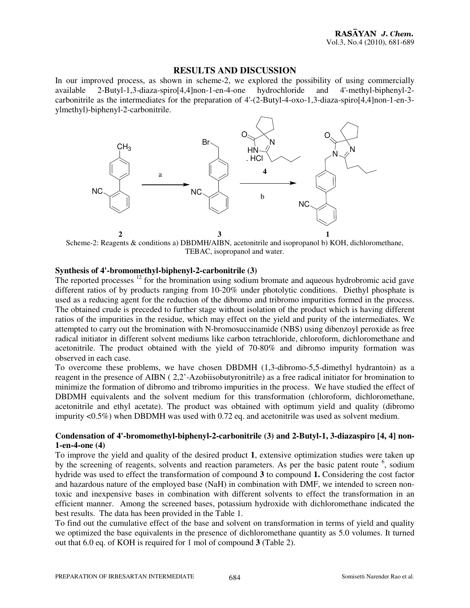#### **RESULTS AND DISCUSSION**

In our improved process, as shown in scheme-2, we explored the possibility of using commercially available 2-Butyl-1.3-diaza-spiro[4.4] non-1-en-4-one hydrochloride and 4'-methyl-biphenyl-2- $2-Butyl-1,3-diaza-spin [4,4]$ non-1-en-4-one hydrochloride carbonitrile as the intermediates for the preparation of 4'-(2-Butyl-4-oxo-1,3-diaza-spiro[4,4]non-1-en-3 ylmethyl)-biphenyl-2-carbonitrile.



Scheme-2: Reagents & conditions a) DBDMH/AIBN, acetonitrile and isopropanol b) KOH, dichloromethane, TEBAC, isopropanol and water.

#### **Synthesis of 4'-bromomethyl-biphenyl-2-carbonitrile (3)**

The reported processes <sup>12</sup> for the bromination using sodium bromate and aqueous hydrobromic acid gave different ratios of by products ranging from 10-20% under photolytic conditions. Diethyl phosphate is used as a reducing agent for the reduction of the dibromo and tribromo impurities formed in the process. The obtained crude is preceded to further stage without isolation of the product which is having different ratios of the impurities in the residue, which may effect on the yield and purity of the intermediates. We attempted to carry out the bromination with N-bromosuccinamide (NBS) using dibenzoyl peroxide as free radical initiator in different solvent mediums like carbon tetrachloride, chloroform, dichloromethane and acetonitrile. The product obtained with the yield of 70-80% and dibromo impurity formation was observed in each case.

To overcome these problems, we have chosen DBDMH (1,3-dibromo-5,5-dimethyl hydrantoin) as a reagent in the presence of AIBN ( 2,2'-Azobiisobutyronitrile) as a free radical initiator for bromination to minimize the formation of dibromo and tribromo impurities in the process. We have studied the effect of DBDMH equivalents and the solvent medium for this transformation (chloroform, dichloromethane, acetonitrile and ethyl acetate). The product was obtained with optimum yield and quality (dibromo impurity <0.5%) when DBDMH was used with 0.72 eq. and acetonitrile was used as solvent medium.

#### **Condensation of 4'-bromomethyl-biphenyl-2-carbonitrile (3) and 2-Butyl-1, 3-diazaspiro [4, 4] non-1-en-4-one (4)**

To improve the yield and quality of the desired product **1**, extensive optimization studies were taken up by the screening of reagents, solvents and reaction parameters. As per the basic patent route <sup>6</sup>, sodium hydride was used to effect the transformation of compound **3** to compound **1.** Considering the cost factor and hazardous nature of the employed base (NaH) in combination with DMF, we intended to screen nontoxic and inexpensive bases in combination with different solvents to effect the transformation in an efficient manner. Among the screened bases, potassium hydroxide with dichloromethane indicated the best results. The data has been provided in the Table 1.

To find out the cumulative effect of the base and solvent on transformation in terms of yield and quality we optimized the base equivalents in the presence of dichloromethane quantity as 5.0 volumes. It turned out that 6.0 eq. of KOH is required for 1 mol of compound **3** (Table 2).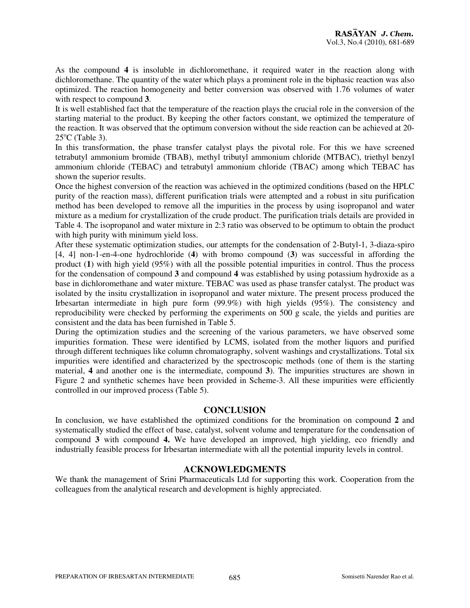As the compound **4** is insoluble in dichloromethane, it required water in the reaction along with dichloromethane. The quantity of the water which plays a prominent role in the biphasic reaction was also optimized. The reaction homogeneity and better conversion was observed with 1.76 volumes of water with respect to compound **3**.

It is well established fact that the temperature of the reaction plays the crucial role in the conversion of the starting material to the product. By keeping the other factors constant, we optimized the temperature of the reaction. It was observed that the optimum conversion without the side reaction can be achieved at 20-  $25^{\circ}$ C (Table 3).

In this transformation, the phase transfer catalyst plays the pivotal role. For this we have screened tetrabutyl ammonium bromide (TBAB), methyl tributyl ammonium chloride (MTBAC), triethyl benzyl ammonium chloride (TEBAC) and tetrabutyl ammonium chloride (TBAC) among which TEBAC has shown the superior results.

Once the highest conversion of the reaction was achieved in the optimized conditions (based on the HPLC purity of the reaction mass), different purification trials were attempted and a robust in situ purification method has been developed to remove all the impurities in the process by using isopropanol and water mixture as a medium for crystallization of the crude product. The purification trials details are provided in Table 4. The isopropanol and water mixture in 2:3 ratio was observed to be optimum to obtain the product with high purity with minimum yield loss.

After these systematic optimization studies, our attempts for the condensation of 2-Butyl-1, 3-diaza-spiro [4, 4] non-1-en-4-one hydrochloride (**4**) with bromo compound (**3**) was successful in affording the product (**1**) with high yield (95%) with all the possible potential impurities in control. Thus the process for the condensation of compound **3** and compound **4** was established by using potassium hydroxide as a base in dichloromethane and water mixture. TEBAC was used as phase transfer catalyst. The product was isolated by the insitu crystallization in isopropanol and water mixture. The present process produced the Irbesartan intermediate in high pure form (99.9%) with high yields (95%). The consistency and reproducibility were checked by performing the experiments on 500 g scale, the yields and purities are consistent and the data has been furnished in Table 5.

During the optimization studies and the screening of the various parameters, we have observed some impurities formation. These were identified by LCMS, isolated from the mother liquors and purified through different techniques like column chromatography, solvent washings and crystallizations. Total six impurities were identified and characterized by the spectroscopic methods (one of them is the starting material, **4** and another one is the intermediate, compound **3**). The impurities structures are shown in Figure 2 and synthetic schemes have been provided in Scheme-3. All these impurities were efficiently controlled in our improved process (Table 5).

#### **CONCLUSION**

In conclusion, we have established the optimized conditions for the bromination on compound **2** and systematically studied the effect of base, catalyst, solvent volume and temperature for the condensation of compound **3** with compound **4.** We have developed an improved, high yielding, eco friendly and industrially feasible process for Irbesartan intermediate with all the potential impurity levels in control.

#### **ACKNOWLEDGMENTS**

We thank the management of Srini Pharmaceuticals Ltd for supporting this work. Cooperation from the colleagues from the analytical research and development is highly appreciated.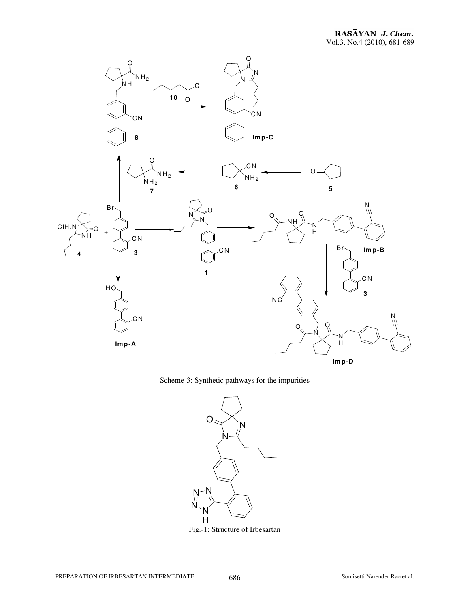

Scheme-3: Synthetic pathways for the impurities



Fig.-1: Structure of Irbesartan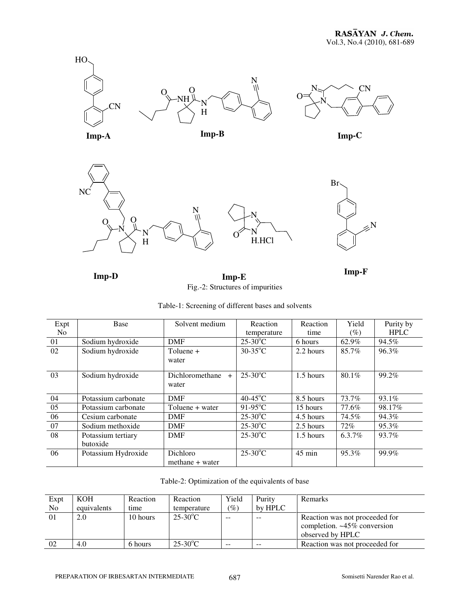



**Imp-D Imp-E Imp-F** Fig.-2: Structures of impurities

|  |  | Table-1: Screening of different bases and solvents |
|--|--|----------------------------------------------------|
|  |  |                                                    |

| Expt           | Base                           | Solvent medium                  | Reaction               | Reaction  | Yield    | Purity by   |
|----------------|--------------------------------|---------------------------------|------------------------|-----------|----------|-------------|
| N <sub>0</sub> |                                |                                 | temperature            | time      | (%)      | <b>HPLC</b> |
| 01             | Sodium hydroxide               | <b>DMF</b>                      | $25-30$ <sup>o</sup> C | 6 hours   | 62.9%    | 94.5%       |
| 02             | Sodium hydroxide               | Toluene +<br>water              | $30-35$ °C             | 2.2 hours | 85.7%    | 96.3%       |
| 03             | Sodium hydroxide               | Dichloromethane<br>$+$<br>water | $25-30$ <sup>o</sup> C | 1.5 hours | $80.1\%$ | 99.2%       |
| 04             | Potassium carbonate            | <b>DMF</b>                      | $40-45^{\circ}$ C      | 8.5 hours | 73.7%    | 93.1%       |
| 05             | Potassium carbonate            | Toluene + water                 | $91-95$ °C             | 15 hours  | 77.6%    | 98.17%      |
| 06             | Cesium carbonate               | <b>DMF</b>                      | $25-30$ °C             | 4.5 hours | 74.5%    | 94.3%       |
| 07             | Sodium methoxide               | <b>DMF</b>                      | $25-30$ °C             | 2.5 hours | 72%      | 95.3%       |
| 08             | Potassium tertiary<br>butoxide | <b>DMF</b>                      | $25-30$ °C             | 1.5 hours | 6.3.7%   | 93.7%       |
| 06             | Potassium Hydroxide            | Dichloro<br>methane + water     | $25-30$ °C             | 45 min    | 95.3%    | 99.9%       |

|  |  | Table-2: Optimization of the equivalents of base |  |
|--|--|--------------------------------------------------|--|
|--|--|--------------------------------------------------|--|

| Expt | KOH         | Reaction | Reaction    | Yield               | Purity  | <b>Remarks</b>                 |
|------|-------------|----------|-------------|---------------------|---------|--------------------------------|
| No   | equivalents | time     | temperature | $\left( \% \right)$ | by HPLC |                                |
| 01   | 2.0         | 10 hours | $25-30$ °C  | $- -$               | $- -$   | Reaction was not proceeded for |
|      |             |          |             |                     |         | completion. ~45% conversion    |
|      |             |          |             |                     |         | observed by HPLC               |
| 02   | 4.0         | 6 hours  | $25-30$ °C  | $\sim$ $\sim$       | $- -$   | Reaction was not proceeded for |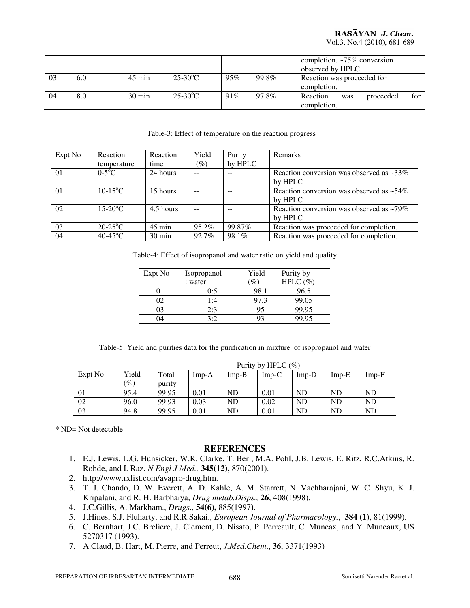## RASAYAN J. Chem.

Vol.3, No.4 (2010), 681-689

|    |     |                  |                   |     |       | completion. $\sim 75\%$ conversion  |
|----|-----|------------------|-------------------|-----|-------|-------------------------------------|
|    |     |                  |                   |     |       | observed by HPLC                    |
| 03 | 6.0 | $45 \text{ min}$ | $25-30^{\circ}$ C | 95% | 99.8% | Reaction was proceeded for          |
|    |     |                  |                   |     |       | completion.                         |
| 04 | 8.0 | $30 \text{ min}$ | $25-30^{\circ}$ C | 91% | 97.8% | Reaction<br>for<br>proceeded<br>was |
|    |     |                  |                   |     |       | completion.                         |

Table-3: Effect of temperature on the reaction progress

| Expt No  | Reaction<br>temperature | Reaction<br>time | Yield<br>(%) | Purity<br>by HPLC | Remarks                                                   |
|----------|-------------------------|------------------|--------------|-------------------|-----------------------------------------------------------|
| $\Omega$ | $0-5$ °C                | 24 hours         |              |                   | Reaction conversion was observed as $\sim$ 33%<br>by HPLC |
| $\Omega$ | $10-15$ <sup>o</sup> C  | 15 hours         |              |                   | Reaction conversion was observed as $~54\%$<br>by HPLC    |
| 02       | $15-20$ <sup>o</sup> C  | 4.5 hours        |              |                   | Reaction conversion was observed as ~79%<br>by HPLC       |
| 03       | $20-25$ °C              | $45$ min         | 95.2%        | 99.87%            | Reaction was proceeded for completion.                    |
| 04       | $40-45$ °C              | 30 min           | 92.7%        | 98.1%             | Reaction was proceeded for completion.                    |

Table-4: Effect of isopropanol and water ratio on yield and quality

| Expt No | Isopropanol | Yield | Purity by   |
|---------|-------------|-------|-------------|
|         | : water     | %     | HPLC $(\%)$ |
|         | 0:5         | 98.1  | 96.5        |
| 02      | 1:4         | 97.3  | 99.05       |
| 03      | 2:3         |       | 99.95       |
| 04      | 3.2         |       | 99.95       |

Table-5: Yield and purities data for the purification in mixture of isopropanol and water

|         |                 |        | Purity by HPLC $(\%)$ |           |         |         |           |           |
|---------|-----------------|--------|-----------------------|-----------|---------|---------|-----------|-----------|
| Expt No | Yield           | Total  | $Imp-A$               | $Imp-B$   | $Imp-C$ | $Imp-D$ | $Imp-E$   | $Imp-F$   |
|         | $\mathscr{O}_0$ | purity |                       |           |         |         |           |           |
| 01      | 95.4            | 99.95  | 0.01                  | ND        | 0.01    | ND      | ND        | ND        |
| 02      | 96.0            | 99.93  | 0.03                  | <b>ND</b> | 0.02    | ND      | <b>ND</b> | <b>ND</b> |
| 03      | 94.8            | 99.95  | 0.01                  | <b>ND</b> | 0.01    | ND      | <b>ND</b> | <b>ND</b> |

**\*** ND= Not detectable

#### **REFERENCES**

- 1. E.J. Lewis, L.G. Hunsicker, W.R. Clarke, T. Berl, M.A. Pohl, J.B. Lewis, E. Ritz, R.C.Atkins, R. Rohde, and I. Raz. *N Engl J Med.,* **345(12),** 870(2001).
- 2. http://www.rxlist.com/avapro-drug.htm.
- 3. T. J. Chando, D. W. Everett, A. D. Kahle, A. M. Starrett, N. Vachharajani, W. C. Shyu, K. J. Kripalani, and R. H. Barbhaiya, *Drug metab.Disps.,* **26**, 408(1998).
- 4. J.C.Gillis, A. Markham., *Drugs*., **54(6),** 885(1997**)**.
- 5. J.Hines, S.J. Fluharty, and R.R.Sakai., *European Journal of Pharmacology.*, **384 (1)**, 81(1999).
- 6. C. Bernhart, J.C. Breliere, J. Clement, D. Nisato, P. Perreault, C. Muneax, and Y. Muneaux, US 5270317 (1993).
- 7. A.Claud, B. Hart, M. Pierre, and Perreut, *J.Med.Chem*., **36**, 3371(1993)